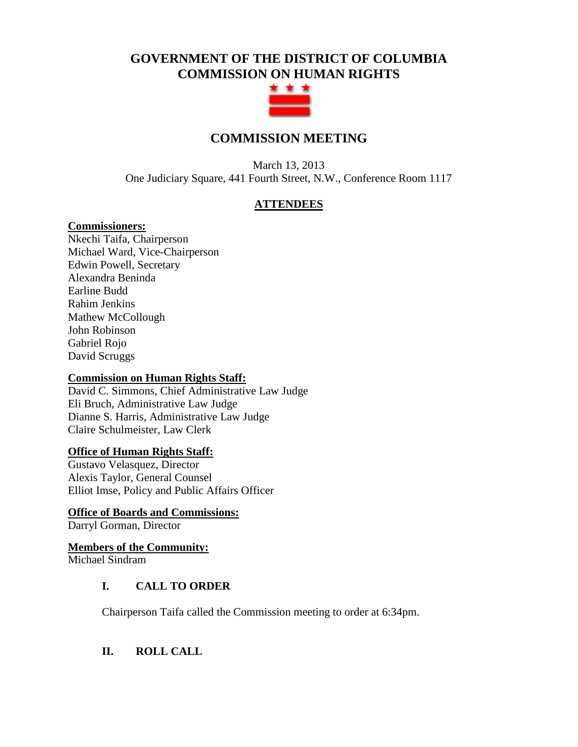# **GOVERNMENT OF THE DISTRICT OF COLUMBIA COMMISSION ON HUMAN RIGHTS**



## **COMMISSION MEETING**

March 13, 2013 One Judiciary Square, 441 Fourth Street, N.W., Conference Room 1117

## **ATTENDEES**

## **Commissioners:**

Nkechi Taifa, Chairperson Michael Ward, Vice-Chairperson Edwin Powell, Secretary Alexandra Beninda Earline Budd Rahim Jenkins Mathew McCollough John Robinson Gabriel Rojo David Scruggs

#### **Commission on Human Rights Staff:**

David C. Simmons, Chief Administrative Law Judge Eli Bruch, Administrative Law Judge Dianne S. Harris, Administrative Law Judge Claire Schulmeister, Law Clerk

#### **Office of Human Rights Staff:**

Gustavo Velasquez, Director Alexis Taylor, General Counsel Elliot Imse, Policy and Public Affairs Officer

#### **Office of Boards and Commissions:**

Darryl Gorman, Director

# **Members of the Community:**

Michael Sindram

## **I. CALL TO ORDER**

Chairperson Taifa called the Commission meeting to order at 6:34pm.

## **II. ROLL CALL**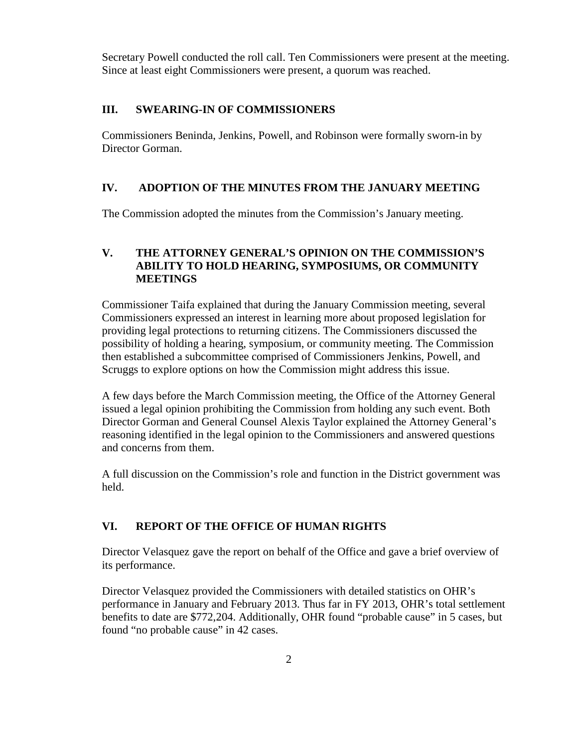Secretary Powell conducted the roll call. Ten Commissioners were present at the meeting. Since at least eight Commissioners were present, a quorum was reached.

#### **III. SWEARING-IN OF COMMISSIONERS**

Commissioners Beninda, Jenkins, Powell, and Robinson were formally sworn-in by Director Gorman.

#### **IV. ADOPTION OF THE MINUTES FROM THE JANUARY MEETING**

The Commission adopted the minutes from the Commission's January meeting.

#### **V. THE ATTORNEY GENERAL'S OPINION ON THE COMMISSION'S ABILITY TO HOLD HEARING, SYMPOSIUMS, OR COMMUNITY MEETINGS**

Commissioner Taifa explained that during the January Commission meeting, several Commissioners expressed an interest in learning more about proposed legislation for providing legal protections to returning citizens. The Commissioners discussed the possibility of holding a hearing, symposium, or community meeting. The Commission then established a subcommittee comprised of Commissioners Jenkins, Powell, and Scruggs to explore options on how the Commission might address this issue.

A few days before the March Commission meeting, the Office of the Attorney General issued a legal opinion prohibiting the Commission from holding any such event. Both Director Gorman and General Counsel Alexis Taylor explained the Attorney General's reasoning identified in the legal opinion to the Commissioners and answered questions and concerns from them.

A full discussion on the Commission's role and function in the District government was held.

#### **VI. REPORT OF THE OFFICE OF HUMAN RIGHTS**

Director Velasquez gave the report on behalf of the Office and gave a brief overview of its performance.

Director Velasquez provided the Commissioners with detailed statistics on OHR's performance in January and February 2013. Thus far in FY 2013, OHR's total settlement benefits to date are \$772,204. Additionally, OHR found "probable cause" in 5 cases, but found "no probable cause" in 42 cases.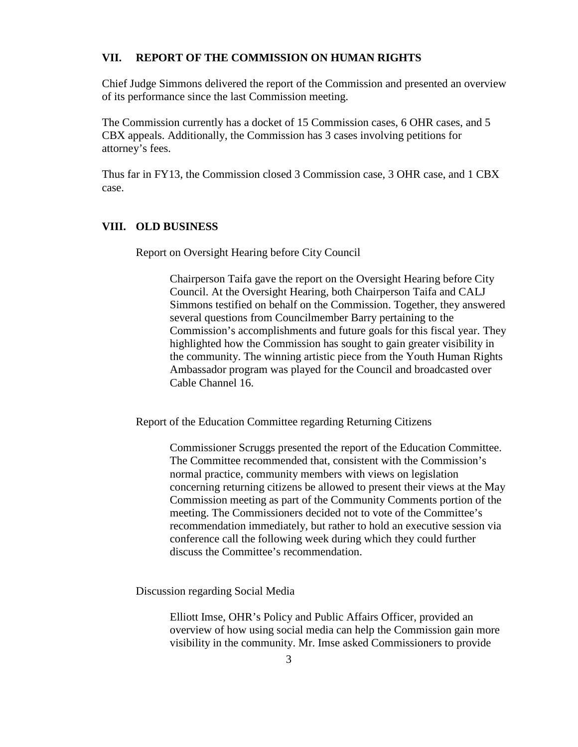#### **VII. REPORT OF THE COMMISSION ON HUMAN RIGHTS**

Chief Judge Simmons delivered the report of the Commission and presented an overview of its performance since the last Commission meeting.

The Commission currently has a docket of 15 Commission cases, 6 OHR cases, and 5 CBX appeals. Additionally, the Commission has 3 cases involving petitions for attorney's fees.

Thus far in FY13, the Commission closed 3 Commission case, 3 OHR case, and 1 CBX case.

#### **VIII. OLD BUSINESS**

Report on Oversight Hearing before City Council

Chairperson Taifa gave the report on the Oversight Hearing before City Council. At the Oversight Hearing, both Chairperson Taifa and CALJ Simmons testified on behalf on the Commission. Together, they answered several questions from Councilmember Barry pertaining to the Commission's accomplishments and future goals for this fiscal year. They highlighted how the Commission has sought to gain greater visibility in the community. The winning artistic piece from the Youth Human Rights Ambassador program was played for the Council and broadcasted over Cable Channel 16.

Report of the Education Committee regarding Returning Citizens

Commissioner Scruggs presented the report of the Education Committee. The Committee recommended that, consistent with the Commission's normal practice, community members with views on legislation concerning returning citizens be allowed to present their views at the May Commission meeting as part of the Community Comments portion of the meeting. The Commissioners decided not to vote of the Committee's recommendation immediately, but rather to hold an executive session via conference call the following week during which they could further discuss the Committee's recommendation.

Discussion regarding Social Media

Elliott Imse, OHR's Policy and Public Affairs Officer, provided an overview of how using social media can help the Commission gain more visibility in the community. Mr. Imse asked Commissioners to provide